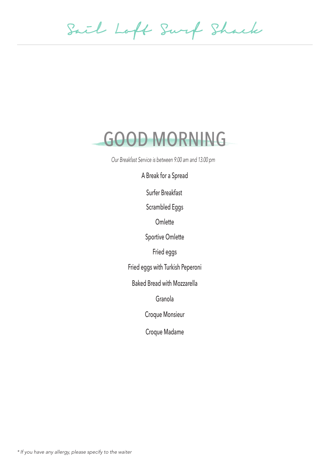Sail Loft Surf Shack

### GOOD MORNING

Our Breakfast Service is between 9.00 am and 13.00 pm

A Break for a Spread

Surfer Breakfast

Scrambled Eggs

**Omlette** 

Sportive Omlette

Fried eggs

Fried eggs with Turkish Peperoni

Baked Bread with Mozzarella

Granola

Croque Monsieur

Croque Madame

\* If you have any allergy, please specify to the waiter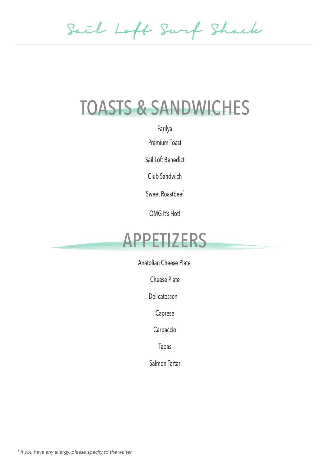Sail Loft Surf Shack

## TOASTS & SANDWICHES

Farilya

Premium Toast

Sail Loft Benedict

Club Sandwich

Sweet Roastbeef

OMG It's Hot!

#### APPETIZERS

Anatolian Cheese Plate

Cheese Plate

Delicatessen

Caprese

Carpaccio

Tapas

Salmon Tartar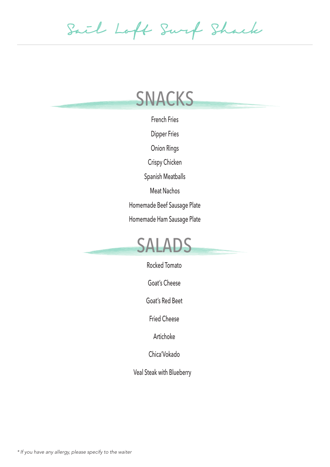Sail Loft Surf Shack

## SNACKS

French Fries

Dipper Fries

Onion Rings

Crispy Chicken

Spanish Meatballs

Meat Nachos

Homemade Beef Sausage Plate

Homemade Ham Sausage Plate



Rocked Tomato

Goat's Cheese

Goat's Red Beet

Fried Cheese

Artichoke

Chica'Vokado

Veal Steak with Blueberry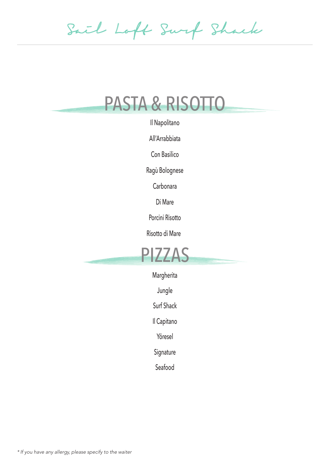Sail Loft Surf Shack

#### PASTA & RISOTTO

Il Napolitano

All'Arrabbiata

Con Basilico

Ragù Bolognese

Carbonara

Di Mare

Porcini Risotto

Risotto di Mare



Margherita

Jungle

Surf Shack

Il Capitano

Yöresel

Signature

Seafood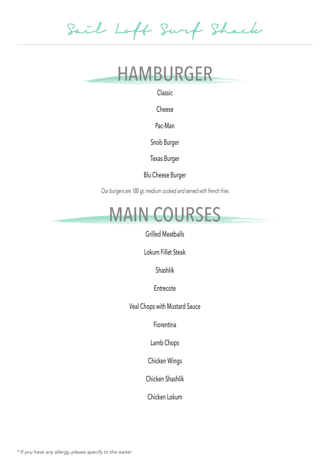Sail Loft Surf Shack

#### HAMBURGER

Classic

Cheese

Pac-Man

Snob Burger

Texas Burger

Blu Cheese Burger

Our burgers are 180 gr, medium cooked and served with french fries



Grilled Meatballs

Lokum Fillet Steak

Shashlik

Entrecote

Veal Chops with Mustard Sauce

Fiorentina

Lamb Chops

Chicken Wings

Chicken Shashlik

Chicken Lokum